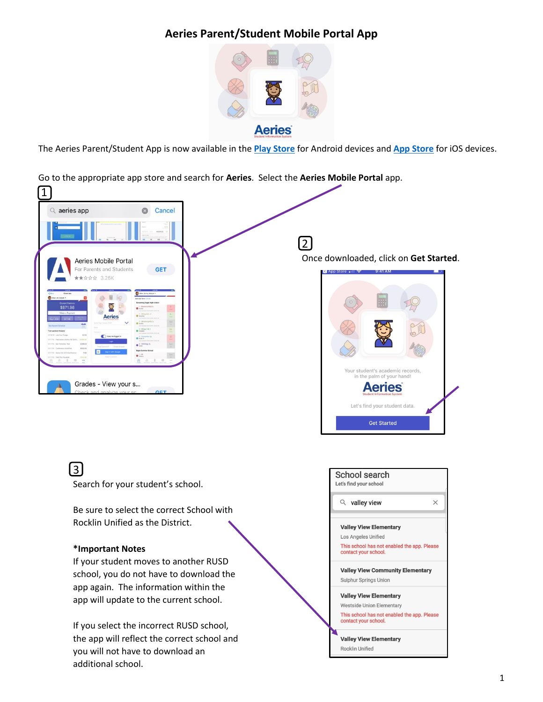## **Aeries Parent/Student Mobile Portal App**



The Aeries Parent/Student App is now available in the **[Play Store](https://play.google.com/store?hl=en_US)** for Android devices and **[App Store](https://www.apple.com/ios/app-store/)** for iOS devices.

Go to the appropriate app store and search for **Aeries**. Select the **Aeries Mobile Portal** app.



Be sure to select the correct School with Rocklin Unified as the District.

## **\*Important Notes**

If your student moves to another RUSD school, you do not have to download the app again. The information within the app will update to the current school.

If you select the incorrect RUSD school, the app will reflect the correct school and you will not have to download an additional school.



Rocklin Unified